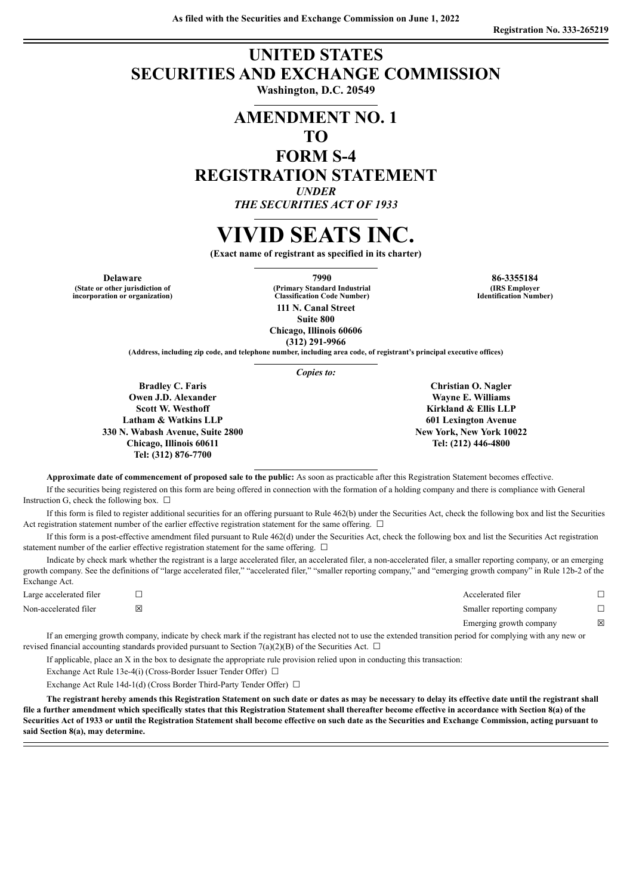# **UNITED STATES SECURITIES AND EXCHANGE COMMISSION**

**Washington, D.C. 20549**

# **AMENDMENT NO. 1 TO FORM S-4 REGISTRATION STATEMENT** *UNDER THE SECURITIES ACT OF 1933*

# **VIVID SEATS INC.**

**(Exact name of registrant as specified in its charter)**

**(State or other jurisdiction of incorporation or organization)**

**Delaware 7990 86-3355184 (Primary Standard Industrial Classification Code Number) 111 N. Canal Street Suite 800 Chicago, Illinois 60606 (312) 291-9966**

**(IRS Employer Identification Number)**

**(Address, including zip code, and telephone number, including area code, of registrant's principal executive offices)**

*Copies to:*

**Bradley C. Faris Owen J.D. Alexander Scott W. Westhoff Latham & Watkins LLP 330 N. Wabash Avenue, Suite 2800 Chicago, Illinois 60611 Tel: (312) 876-7700**

**Christian O. Nagler Wayne E. Williams Kirkland & Ellis LLP 601 Lexington Avenue New York, New York 10022 Tel: (212) 446-4800**

**Approximate date of commencement of proposed sale to the public:** As soon as practicable after this Registration Statement becomes effective. If the securities being registered on this form are being offered in connection with the formation of a holding company and there is compliance with General Instruction G, check the following box.  $\Box$ 

If this form is filed to register additional securities for an offering pursuant to Rule 462(b) under the Securities Act, check the following box and list the Securities Act registration statement number of the earlier effective registration statement for the same offering.  $\Box$ 

If this form is a post-effective amendment filed pursuant to Rule 462(d) under the Securities Act, check the following box and list the Securities Act registration statement number of the earlier effective registration statement for the same offering.  $\Box$ 

Indicate by check mark whether the registrant is a large accelerated filer, an accelerated filer, a non-accelerated filer, a smaller reporting company, or an emerging growth company. See the definitions of "large accelerated filer," "accelerated filer," "smaller reporting company," and "emerging growth company" in Rule 12b-2 of the Exchange Act.

| Large accelerated filer | Accelerated filer         |             |
|-------------------------|---------------------------|-------------|
| Non-accelerated filer   | Smaller reporting company |             |
|                         | Emerging growth company   | $\boxtimes$ |

If an emerging growth company, indicate by check mark if the registrant has elected not to use the extended transition period for complying with any new or revised financial accounting standards provided pursuant to Section 7(a)(2)(B) of the Securities Act.  $\Box$ 

If applicable, place an  $X$  in the box to designate the appropriate rule provision relied upon in conducting this transaction:

Exchange Act Rule 13e-4(i) (Cross-Border Issuer Tender Offer)  $\Box$ 

Exchange Act Rule 14d-1(d) (Cross Border Third-Party Tender Offer)  $\Box$ 

**The registrant hereby amends this Registration Statement on such date or dates as may be necessary to delay its effective date until the registrant shall file a further amendment which specifically states that this Registration Statement shall thereafter become effective in accordance with Section 8(a) of the Securities Act of 1933 or until the Registration Statement shall become effective on such date as the Securities and Exchange Commission, acting pursuant to said Section 8(a), may determine.**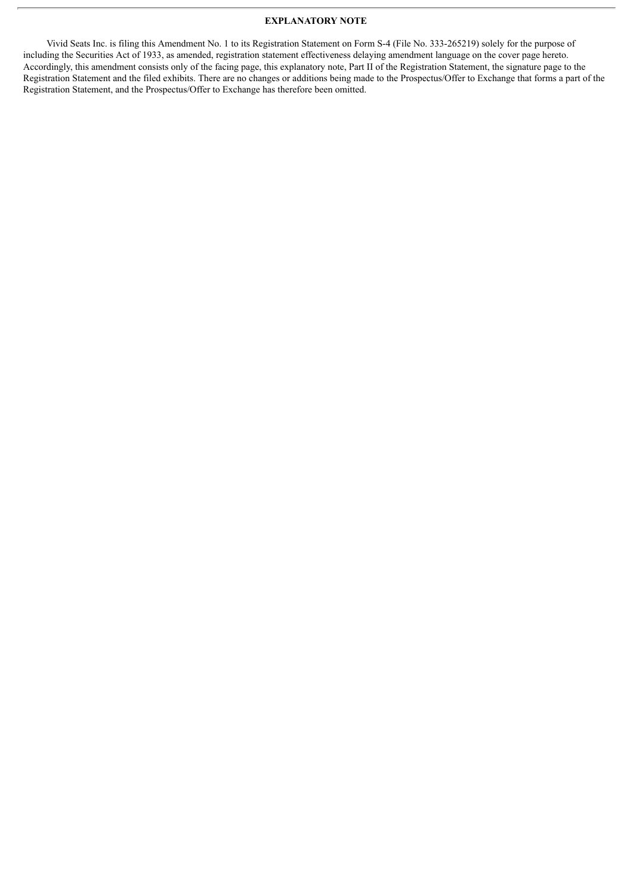# **EXPLANATORY NOTE**

Vivid Seats Inc. is filing this Amendment No. 1 to its Registration Statement on Form S-4 (File No. 333-265219) solely for the purpose of including the Securities Act of 1933, as amended, registration statement effectiveness delaying amendment language on the cover page hereto. Accordingly, this amendment consists only of the facing page, this explanatory note, Part II of the Registration Statement, the signature page to the Registration Statement and the filed exhibits. There are no changes or additions being made to the Prospectus/Offer to Exchange that forms a part of the Registration Statement, and the Prospectus/Offer to Exchange has therefore been omitted.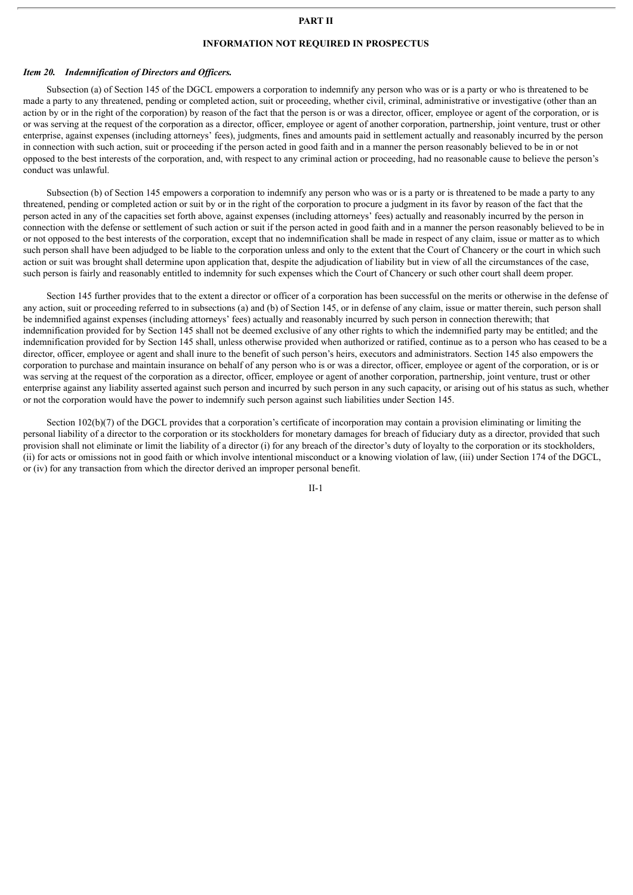## **PART II**

#### **INFORMATION NOT REQUIRED IN PROSPECTUS**

#### *Item 20. Indemnification of Directors and Of icers.*

Subsection (a) of Section 145 of the DGCL empowers a corporation to indemnify any person who was or is a party or who is threatened to be made a party to any threatened, pending or completed action, suit or proceeding, whether civil, criminal, administrative or investigative (other than an action by or in the right of the corporation) by reason of the fact that the person is or was a director, officer, employee or agent of the corporation, or is or was serving at the request of the corporation as a director, officer, employee or agent of another corporation, partnership, joint venture, trust or other enterprise, against expenses (including attorneys' fees), judgments, fines and amounts paid in settlement actually and reasonably incurred by the person in connection with such action, suit or proceeding if the person acted in good faith and in a manner the person reasonably believed to be in or not opposed to the best interests of the corporation, and, with respect to any criminal action or proceeding, had no reasonable cause to believe the person's conduct was unlawful.

Subsection (b) of Section 145 empowers a corporation to indemnify any person who was or is a party or is threatened to be made a party to any threatened, pending or completed action or suit by or in the right of the corporation to procure a judgment in its favor by reason of the fact that the person acted in any of the capacities set forth above, against expenses (including attorneys' fees) actually and reasonably incurred by the person in connection with the defense or settlement of such action or suit if the person acted in good faith and in a manner the person reasonably believed to be in or not opposed to the best interests of the corporation, except that no indemnification shall be made in respect of any claim, issue or matter as to which such person shall have been adjudged to be liable to the corporation unless and only to the extent that the Court of Chancery or the court in which such action or suit was brought shall determine upon application that, despite the adjudication of liability but in view of all the circumstances of the case, such person is fairly and reasonably entitled to indemnity for such expenses which the Court of Chancery or such other court shall deem proper.

Section 145 further provides that to the extent a director or officer of a corporation has been successful on the merits or otherwise in the defense of any action, suit or proceeding referred to in subsections (a) and (b) of Section 145, or in defense of any claim, issue or matter therein, such person shall be indemnified against expenses (including attorneys' fees) actually and reasonably incurred by such person in connection therewith; that indemnification provided for by Section 145 shall not be deemed exclusive of any other rights to which the indemnified party may be entitled; and the indemnification provided for by Section 145 shall, unless otherwise provided when authorized or ratified, continue as to a person who has ceased to be a director, officer, employee or agent and shall inure to the benefit of such person's heirs, executors and administrators. Section 145 also empowers the corporation to purchase and maintain insurance on behalf of any person who is or was a director, officer, employee or agent of the corporation, or is or was serving at the request of the corporation as a director, officer, employee or agent of another corporation, partnership, joint venture, trust or other enterprise against any liability asserted against such person and incurred by such person in any such capacity, or arising out of his status as such, whether or not the corporation would have the power to indemnify such person against such liabilities under Section 145.

Section 102(b)(7) of the DGCL provides that a corporation's certificate of incorporation may contain a provision eliminating or limiting the personal liability of a director to the corporation or its stockholders for monetary damages for breach of fiduciary duty as a director, provided that such provision shall not eliminate or limit the liability of a director (i) for any breach of the director's duty of loyalty to the corporation or its stockholders, (ii) for acts or omissions not in good faith or which involve intentional misconduct or a knowing violation of law, (iii) under Section 174 of the DGCL, or (iv) for any transaction from which the director derived an improper personal benefit.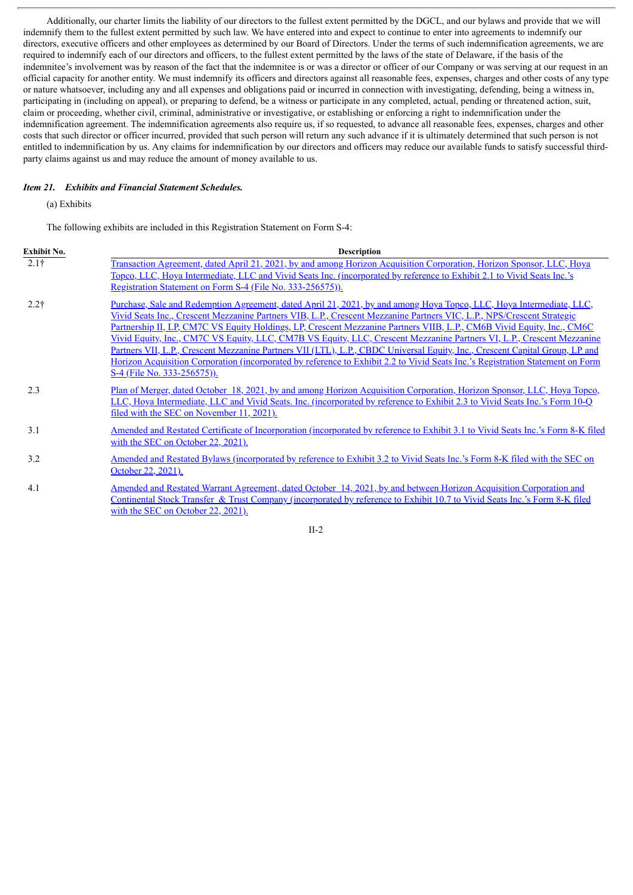Additionally, our charter limits the liability of our directors to the fullest extent permitted by the DGCL, and our bylaws and provide that we will indemnify them to the fullest extent permitted by such law. We have entered into and expect to continue to enter into agreements to indemnify our directors, executive officers and other employees as determined by our Board of Directors. Under the terms of such indemnification agreements, we are required to indemnify each of our directors and officers, to the fullest extent permitted by the laws of the state of Delaware, if the basis of the indemnitee's involvement was by reason of the fact that the indemnitee is or was a director or officer of our Company or was serving at our request in an official capacity for another entity. We must indemnify its officers and directors against all reasonable fees, expenses, charges and other costs of any type or nature whatsoever, including any and all expenses and obligations paid or incurred in connection with investigating, defending, being a witness in, participating in (including on appeal), or preparing to defend, be a witness or participate in any completed, actual, pending or threatened action, suit, claim or proceeding, whether civil, criminal, administrative or investigative, or establishing or enforcing a right to indemnification under the indemnification agreement. The indemnification agreements also require us, if so requested, to advance all reasonable fees, expenses, charges and other costs that such director or officer incurred, provided that such person will return any such advance if it is ultimately determined that such person is not entitled to indemnification by us. Any claims for indemnification by our directors and officers may reduce our available funds to satisfy successful thirdparty claims against us and may reduce the amount of money available to us.

# *Item 21. Exhibits and Financial Statement Schedules.*

(a) Exhibits

The following exhibits are included in this Registration Statement on Form S-4:

| <b>Exhibit No.</b> | <b>Description</b>                                                                                                                                                                                                                                                                                                                                                                                                                                                                                                                                                                                                                                                                                                                                                                                  |
|--------------------|-----------------------------------------------------------------------------------------------------------------------------------------------------------------------------------------------------------------------------------------------------------------------------------------------------------------------------------------------------------------------------------------------------------------------------------------------------------------------------------------------------------------------------------------------------------------------------------------------------------------------------------------------------------------------------------------------------------------------------------------------------------------------------------------------------|
| $2.1\dagger$       | Transaction Agreement, dated April 21, 2021, by and among Horizon Acquisition Corporation, Horizon Sponsor, LLC, Hoya<br><u>Topco, LLC, Hoya Intermediate, LLC and Vivid Seats Inc. (incorporated by reference to Exhibit 2.1 to Vivid Seats Inc.'s</u><br>Registration Statement on Form S-4 (File No. 333-256575)).                                                                                                                                                                                                                                                                                                                                                                                                                                                                               |
| $2.2\dagger$       | Purchase, Sale and Redemption Agreement, dated April 21, 2021, by and among Hoya Topco, LLC, Hoya Intermediate, LLC,<br>Vivid Seats Inc., Crescent Mezzanine Partners VIB, L.P., Crescent Mezzanine Partners VIC, L.P., NPS/Crescent Strategic<br>Partnership II, LP, CM7C VS Equity Holdings, LP, Crescent Mezzanine Partners VIIB, L.P., CM6B Vivid Equity, Inc., CM6C<br>Vivid Equity, Inc., CM7C VS Equity, LLC, CM7B VS Equity, LLC, Crescent Mezzanine Partners VI, L.P., Crescent Mezzanine<br>Partners VII, L.P., Crescent Mezzanine Partners VII (LTL), L.P., CBDC Universal Equity, Inc., Crescent Capital Group, LP and<br>Horizon Acquisition Corporation (incorporated by reference to Exhibit 2.2 to Vivid Seats Inc.'s Registration Statement on Form<br>S-4 (File No. 333-256575)). |
| 2.3                | Plan of Merger, dated October 18, 2021, by and among Horizon Acquisition Corporation, Horizon Sponsor, LLC, Hoya Topco,<br>LLC, Hoya Intermediate, LLC and Vivid Seats. Inc. (incorporated by reference to Exhibit 2.3 to Vivid Seats Inc.'s Form 10-Q<br>filed with the SEC on November 11, 2021).                                                                                                                                                                                                                                                                                                                                                                                                                                                                                                 |
| 3.1                | Amended and Restated Certificate of Incorporation (incorporated by reference to Exhibit 3.1 to Vivid Seats Inc.'s Form 8-K filed<br>with the SEC on October 22, 2021).                                                                                                                                                                                                                                                                                                                                                                                                                                                                                                                                                                                                                              |
| 3.2                | Amended and Restated Bylaws (incorporated by reference to Exhibit 3.2 to Vivid Seats Inc.'s Form 8-K filed with the SEC on<br>October 22, 2021).                                                                                                                                                                                                                                                                                                                                                                                                                                                                                                                                                                                                                                                    |
| 4.1                | Amended and Restated Warrant Agreement, dated October 14, 2021, by and between Horizon Acquisition Corporation and<br>Continental Stock Transfer & Trust Company (incorporated by reference to Exhibit 10.7 to Vivid Seats Inc.'s Form 8-K filed<br>with the SEC on October 22, 2021).                                                                                                                                                                                                                                                                                                                                                                                                                                                                                                              |
|                    | $\mathbf{r}$ $\mathbf{r}$                                                                                                                                                                                                                                                                                                                                                                                                                                                                                                                                                                                                                                                                                                                                                                           |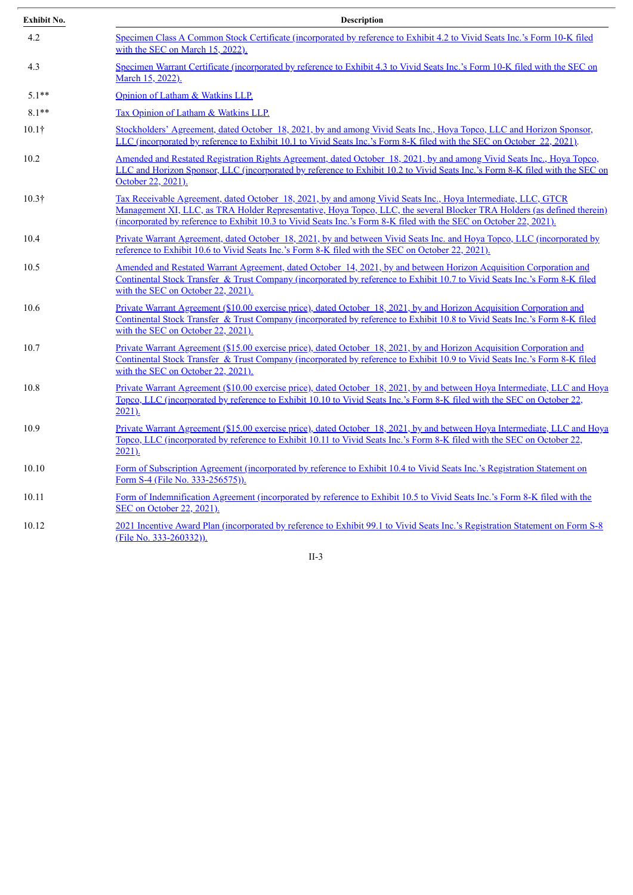| Exhibit No. | <b>Description</b>                                                                                                                                                                                                                                                                                                                                             |
|-------------|----------------------------------------------------------------------------------------------------------------------------------------------------------------------------------------------------------------------------------------------------------------------------------------------------------------------------------------------------------------|
| 4.2         | Specimen Class A Common Stock Certificate (incorporated by reference to Exhibit 4.2 to Vivid Seats Inc.'s Form 10-K filed<br>with the SEC on March 15, 2022).                                                                                                                                                                                                  |
| 4.3         | Specimen Warrant Certificate (incorporated by reference to Exhibit 4.3 to Vivid Seats Inc.'s Form 10-K filed with the SEC on<br>March 15, 2022).                                                                                                                                                                                                               |
| $5.1**$     | Opinion of Latham & Watkins LLP.                                                                                                                                                                                                                                                                                                                               |
| $8.1**$     | Tax Opinion of Latham & Watkins LLP.                                                                                                                                                                                                                                                                                                                           |
| $10.1$ †    | Stockholders' Agreement, dated October 18, 2021, by and among Vivid Seats Inc., Hoya Topco, LLC and Horizon Sponsor,<br>LLC (incorporated by reference to Exhibit 10.1 to Vivid Seats Inc.'s Form 8-K filed with the SEC on October 22, 2021).                                                                                                                 |
| 10.2        | Amended and Restated Registration Rights Agreement, dated October 18, 2021, by and among Vivid Seats Inc., Hoya Topco,<br>LLC and Horizon Sponsor, LLC (incorporated by reference to Exhibit 10.2 to Vivid Seats Inc.'s Form 8-K filed with the SEC on<br>October 22, 2021).                                                                                   |
| 10.3†       | Tax Receivable Agreement, dated October 18, 2021, by and among Vivid Seats Inc., Hoya Intermediate, LLC, GTCR<br>Management XI, LLC, as TRA Holder Representative, Hoya Topco, LLC, the several Blocker TRA Holders (as defined therein)<br>(incorporated by reference to Exhibit 10.3 to Vivid Seats Inc.'s Form 8-K filed with the SEC on October 22, 2021). |
| 10.4        | Private Warrant Agreement, dated October 18, 2021, by and between Vivid Seats Inc. and Hoya Topco, LLC (incorporated by<br>reference to Exhibit 10.6 to Vivid Seats Inc.'s Form 8-K filed with the SEC on October 22, 2021).                                                                                                                                   |
| 10.5        | <u>Amended and Restated Warrant Agreement, dated October 14, 2021, by and between Horizon Acquisition Corporation and</u><br>Continental Stock Transfer & Trust Company (incorporated by reference to Exhibit 10.7 to Vivid Seats Inc.'s Form 8-K filed<br>with the SEC on October 22, 2021).                                                                  |
| 10.6        | Private Warrant Agreement (\$10.00 exercise price), dated October 18, 2021, by and Horizon Acquisition Corporation and<br>Continental Stock Transfer & Trust Company (incorporated by reference to Exhibit 10.8 to Vivid Seats Inc.'s Form 8-K filed<br>with the SEC on October 22, 2021).                                                                     |
| 10.7        | Private Warrant Agreement (\$15.00 exercise price), dated October 18, 2021, by and Horizon Acquisition Corporation and<br>Continental Stock Transfer & Trust Company (incorporated by reference to Exhibit 10.9 to Vivid Seats Inc.'s Form 8-K filed<br>with the SEC on October 22, 2021).                                                                     |
| 10.8        | Private Warrant Agreement (\$10.00 exercise price), dated October 18, 2021, by and between Hoya Intermediate, LLC and Hoya<br>Topco, LLC (incorporated by reference to Exhibit 10.10 to Vivid Seats Inc.'s Form 8-K filed with the SEC on October 22<br>$2021$ ).                                                                                              |
| 10.9        | Private Warrant Agreement (\$15.00 exercise price), dated October 18, 2021, by and between Hoya Intermediate, LLC and Hoya<br>Topco, LLC (incorporated by reference to Exhibit 10.11 to Vivid Seats Inc.'s Form 8-K filed with the SEC on October 22.<br>$2021$ ).                                                                                             |
| 10.10       | Form of Subscription Agreement (incorporated by reference to Exhibit 10.4 to Vivid Seats Inc.'s Registration Statement on<br>Form S-4 (File No. 333-256575)).                                                                                                                                                                                                  |
| 10.11       | Form of Indemnification Agreement (incorporated by reference to Exhibit 10.5 to Vivid Seats Inc.'s Form 8-K filed with the<br>SEC on October 22, 2021).                                                                                                                                                                                                        |
| 10.12       | 2021 Incentive Award Plan (incorporated by reference to Exhibit 99.1 to Vivid Seats Inc.'s Registration Statement on Form S-8<br>(File No. 333-260332)).                                                                                                                                                                                                       |

 $\overline{a}$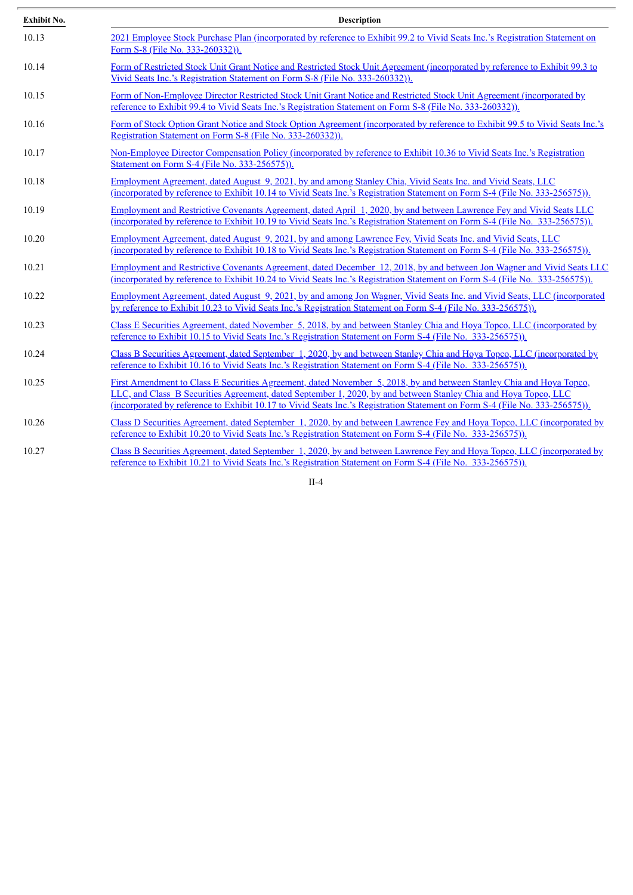| Exhibit No. | <b>Description</b>                                                                                                                                                                                                                                                                                                                                                      |
|-------------|-------------------------------------------------------------------------------------------------------------------------------------------------------------------------------------------------------------------------------------------------------------------------------------------------------------------------------------------------------------------------|
| 10.13       | 2021 Employee Stock Purchase Plan (incorporated by reference to Exhibit 99.2 to Vivid Seats Inc.'s Registration Statement on<br>Form S-8 (File No. 333-260332)).                                                                                                                                                                                                        |
| 10.14       | Form of Restricted Stock Unit Grant Notice and Restricted Stock Unit Agreement (incorporated by reference to Exhibit 99.3 to<br>Vivid Seats Inc.'s Registration Statement on Form S-8 (File No. 333-260332)).                                                                                                                                                           |
| 10.15       | Form of Non-Employee Director Restricted Stock Unit Grant Notice and Restricted Stock Unit Agreement (incorporated by<br>reference to Exhibit 99.4 to Vivid Seats Inc.'s Registration Statement on Form S-8 (File No. 333-260332)).                                                                                                                                     |
| 10.16       | Form of Stock Option Grant Notice and Stock Option Agreement (incorporated by reference to Exhibit 99.5 to Vivid Seats Inc.'s<br>Registration Statement on Form S-8 (File No. 333-260332)).                                                                                                                                                                             |
| 10.17       | Non-Employee Director Compensation Policy (incorporated by reference to Exhibit 10.36 to Vivid Seats Inc.'s Registration<br>Statement on Form S-4 (File No. 333-256575)).                                                                                                                                                                                               |
| 10.18       | Employment Agreement, dated August 9, 2021, by and among Stanley Chia, Vivid Seats Inc. and Vivid Seats, LLC<br>(incorporated by reference to Exhibit 10.14 to Vivid Seats Inc.'s Registration Statement on Form S-4 (File No. 333-256575)).                                                                                                                            |
| 10.19       | Employment and Restrictive Covenants Agreement, dated April 1, 2020, by and between Lawrence Fey and Vivid Seats LLC<br>(incorporated by reference to Exhibit 10.19 to Vivid Seats Inc.'s Registration Statement on Form S-4 (File No. 333-256575)).                                                                                                                    |
| 10.20       | Employment Agreement, dated August 9, 2021, by and among Lawrence Fey, Vivid Seats Inc. and Vivid Seats, LLC<br>(incorporated by reference to Exhibit 10.18 to Vivid Seats Inc.'s Registration Statement on Form S-4 (File No. 333-256575)).                                                                                                                            |
| 10.21       | Employment and Restrictive Covenants Agreement, dated December 12, 2018, by and between Jon Wagner and Vivid Seats LLC<br>(incorporated by reference to Exhibit 10.24 to Vivid Seats Inc.'s Registration Statement on Form S-4 (File No. 333-256575)).                                                                                                                  |
| 10.22       | Employment Agreement, dated August 9, 2021, by and among Jon Wagner, Vivid Seats Inc. and Vivid Seats, LLC (incorporated<br>by reference to Exhibit 10.23 to Vivid Seats Inc.'s Registration Statement on Form S-4 (File No. 333-256575)).                                                                                                                              |
| 10.23       | Class E Securities Agreement, dated November 5, 2018, by and between Stanley Chia and Hoya Topco, LLC (incorporated by<br>reference to Exhibit 10.15 to Vivid Seats Inc.'s Registration Statement on Form S-4 (File No. 333-256575)).                                                                                                                                   |
| 10.24       | Class B Securities Agreement, dated September 1, 2020, by and between Stanley Chia and Hoya Topco, LLC (incorporated by<br>reference to Exhibit 10.16 to Vivid Seats Inc.'s Registration Statement on Form S-4 (File No. 333-256575)).                                                                                                                                  |
| 10.25       | First Amendment to Class E Securities Agreement, dated November 5, 2018, by and between Stanley Chia and Hoya Topco,<br>LLC, and Class B Securities Agreement, dated September 1, 2020, by and between Stanley Chia and Hoya Topco, LLC<br>(incorporated by reference to Exhibit 10.17 to Vivid Seats Inc.'s Registration Statement on Form S-4 (File No. 333-256575)). |
| 10.26       | Class D Securities Agreement, dated September 1, 2020, by and between Lawrence Fey and Hoya Topco, LLC (incorporated by<br>reference to Exhibit 10.20 to Vivid Seats Inc.'s Registration Statement on Form S-4 (File No. 333-256575)).                                                                                                                                  |
| 10.27       | Class B Securities Agreement, dated September 1, 2020, by and between Lawrence Fey and Hoya Topco, LLC (incorporated by<br>reference to Exhibit 10.21 to Vivid Seats Inc.'s Registration Statement on Form S-4 (File No. 333-256575)).                                                                                                                                  |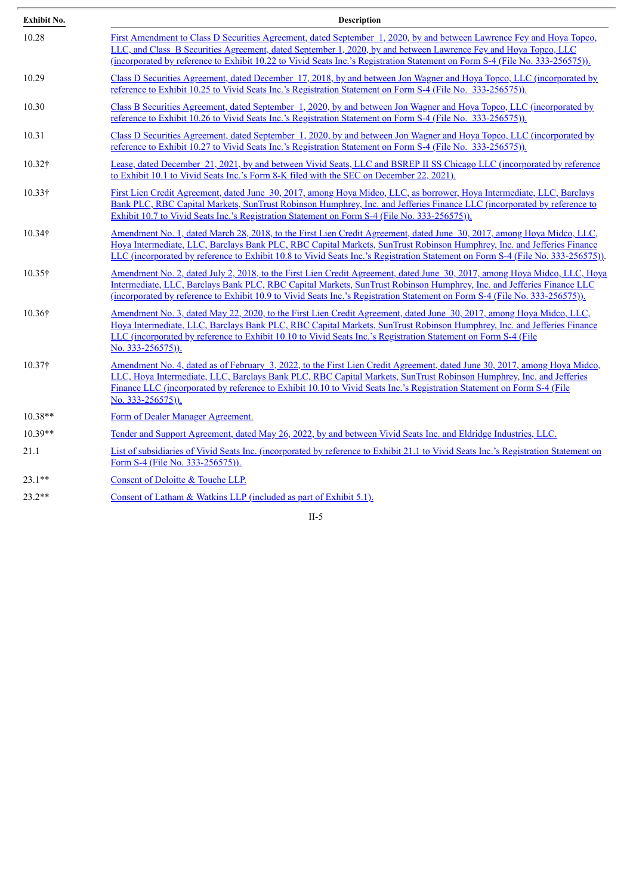| Exhibit No.    | Description                                                                                                                                                                                                                                                                                                                                                                                     |
|----------------|-------------------------------------------------------------------------------------------------------------------------------------------------------------------------------------------------------------------------------------------------------------------------------------------------------------------------------------------------------------------------------------------------|
| 10.28          | First Amendment to Class D Securities Agreement, dated September 1, 2020, by and between Lawrence Fey and Hoya Topco,<br>LLC, and Class B Securities Agreement, dated September 1, 2020, by and between Lawrence Fey and Hoya Topco, LLC<br>(incorporated by reference to Exhibit 10.22 to Vivid Seats Inc.'s Registration Statement on Form S-4 (File No. 333-256575)).                        |
| 10.29          | Class D Securities Agreement, dated December 17, 2018, by and between Jon Wagner and Hoya Topco, LLC (incorporated by<br>reference to Exhibit 10.25 to Vivid Seats Inc.'s Registration Statement on Form S-4 (File No. 333-256575)).                                                                                                                                                            |
| 10.30          | Class B Securities Agreement, dated September 1, 2020, by and between Jon Wagner and Hoya Topco, LLC (incorporated by<br>reference to Exhibit 10.26 to Vivid Seats Inc.'s Registration Statement on Form S-4 (File No. 333-256575)).                                                                                                                                                            |
| 10.31          | Class D Securities Agreement, dated September 1, 2020, by and between Jon Wagner and Hoya Topco, LLC (incorporated by<br>reference to Exhibit 10.27 to Vivid Seats Inc.'s Registration Statement on Form S-4 (File No. 333-256575)).                                                                                                                                                            |
| $10.32\dagger$ | Lease, dated December 21, 2021, by and between Vivid Seats, LLC and BSREP II SS Chicago LLC (incorporated by reference<br>to Exhibit 10.1 to Vivid Seats Inc.'s Form 8-K filed with the SEC on December 22, 2021).                                                                                                                                                                              |
| 10.33†         | First Lien Credit Agreement, dated June 30, 2017, among Hoya Midco, LLC, as borrower, Hoya Intermediate, LLC, Barclays<br>Bank PLC, RBC Capital Markets, SunTrust Robinson Humphrey, Inc. and Jefferies Finance LLC (incorporated by reference to<br>Exhibit 10.7 to Vivid Seats Inc.'s Registration Statement on Form S-4 (File No. 333-256575)).                                              |
| 10.34†         | Amendment No. 1, dated March 28, 2018, to the First Lien Credit Agreement, dated June 30, 2017, among Hoya Midco, LLC.<br>Hoya Intermediate, LLC, Barclays Bank PLC, RBC Capital Markets, SunTrust Robinson Humphrey, Inc. and Jefferies Finance<br>LLC (incorporated by reference to Exhibit 10.8 to Vivid Seats Inc.'s Registration Statement on Form S-4 (File No. 333-256575)).             |
| 10.35†         | Amendment No. 2, dated July 2, 2018, to the First Lien Credit Agreement, dated June 30, 2017, among Hoya Midco, LLC, Hoya<br>Intermediate, LLC, Barclays Bank PLC, RBC Capital Markets, SunTrust Robinson Humphrey, Inc. and Jefferies Finance LLC<br>(incorporated by reference to Exhibit 10.9 to Vivid Seats Inc.'s Registration Statement on Form S-4 (File No. 333-256575)).               |
| 10.36†         | Amendment No. 3, dated May 22, 2020, to the First Lien Credit Agreement, dated June 30, 2017, among Hoya Midco, LLC,<br>Hoya Intermediate, LLC, Barclays Bank PLC, RBC Capital Markets, SunTrust Robinson Humphrey, Inc. and Jefferies Finance<br>LLC (incorporated by reference to Exhibit 10.10 to Vivid Seats Inc.'s Registration Statement on Form S-4 (File<br>No. 333-256575)).           |
| 10.37†         | Amendment No. 4, dated as of February 3, 2022, to the First Lien Credit Agreement, dated June 30, 2017, among Hoya Midco,<br>LLC, Hoya Intermediate, LLC, Barclays Bank PLC, RBC Capital Markets, SunTrust Robinson Humphrey, Inc. and Jefferies<br>Finance LLC (incorporated by reference to Exhibit 10.10 to Vivid Seats Inc.'s Registration Statement on Form S-4 (File<br>No. 333-256575)). |
| 10.38**        | Form of Dealer Manager Agreement.                                                                                                                                                                                                                                                                                                                                                               |
| $10.39**$      | Tender and Support Agreement, dated May 26, 2022, by and between Vivid Seats Inc. and Eldridge Industries, LLC.                                                                                                                                                                                                                                                                                 |
| 21.1           | List of subsidiaries of Vivid Seats Inc. (incorporated by reference to Exhibit 21.1 to Vivid Seats Inc.'s Registration Statement on<br>Form S-4 (File No. 333-256575)).                                                                                                                                                                                                                         |
| 23.1**         | Consent of Deloitte & Touche LLP.                                                                                                                                                                                                                                                                                                                                                               |
| 23.2**         | Consent of Latham & Watkins LLP (included as part of Exhibit 5.1).                                                                                                                                                                                                                                                                                                                              |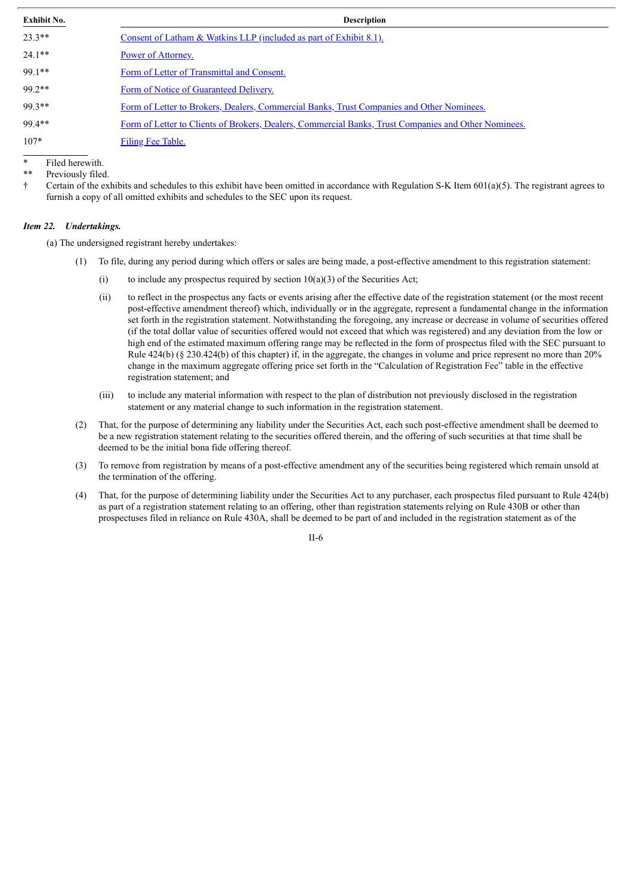| <b>Exhibit No.</b> | <b>Description</b>                                                                                   |  |  |  |  |  |  |
|--------------------|------------------------------------------------------------------------------------------------------|--|--|--|--|--|--|
| $23.3**$           | Consent of Latham & Watkins LLP (included as part of Exhibit 8.1).                                   |  |  |  |  |  |  |
| $241**$            | Power of Attorney.                                                                                   |  |  |  |  |  |  |
| 99.1**             | Form of Letter of Transmittal and Consent.                                                           |  |  |  |  |  |  |
| $99.2**$           | Form of Notice of Guaranteed Delivery.                                                               |  |  |  |  |  |  |
| $99.3**$           | Form of Letter to Brokers, Dealers, Commercial Banks, Trust Companies and Other Nominees.            |  |  |  |  |  |  |
| 99.4**             | Form of Letter to Clients of Brokers, Dealers, Commercial Banks, Trust Companies and Other Nominees. |  |  |  |  |  |  |
| $107*$             | Filing Fee Table.                                                                                    |  |  |  |  |  |  |

Filed herewith.

Previously filed.

Certain of the exhibits and schedules to this exhibit have been omitted in accordance with Regulation S-K Item  $601(a)(5)$ . The registrant agrees to furnish a copy of all omitted exhibits and schedules to the SEC upon its request.

# *Item 22. Undertakings.*

(a) The undersigned registrant hereby undertakes:

- (1) To file, during any period during which offers or sales are being made, a post-effective amendment to this registration statement:
	- (i) to include any prospectus required by section  $10(a)(3)$  of the Securities Act;
	- (ii) to reflect in the prospectus any facts or events arising after the effective date of the registration statement (or the most recent post-effective amendment thereof) which, individually or in the aggregate, represent a fundamental change in the information set forth in the registration statement. Notwithstanding the foregoing, any increase or decrease in volume of securities offered (if the total dollar value of securities offered would not exceed that which was registered) and any deviation from the low or high end of the estimated maximum offering range may be reflected in the form of prospectus filed with the SEC pursuant to Rule 424(b) (§ 230.424(b) of this chapter) if, in the aggregate, the changes in volume and price represent no more than 20% change in the maximum aggregate offering price set forth in the "Calculation of Registration Fee" table in the effective registration statement; and
	- (iii) to include any material information with respect to the plan of distribution not previously disclosed in the registration statement or any material change to such information in the registration statement.
- (2) That, for the purpose of determining any liability under the Securities Act, each such post-effective amendment shall be deemed to be a new registration statement relating to the securities offered therein, and the offering of such securities at that time shall be deemed to be the initial bona fide offering thereof.
- (3) To remove from registration by means of a post-effective amendment any of the securities being registered which remain unsold at the termination of the offering.
- (4) That, for the purpose of determining liability under the Securities Act to any purchaser, each prospectus filed pursuant to Rule 424(b) as part of a registration statement relating to an offering, other than registration statements relying on Rule 430B or other than prospectuses filed in reliance on Rule 430A, shall be deemed to be part of and included in the registration statement as of the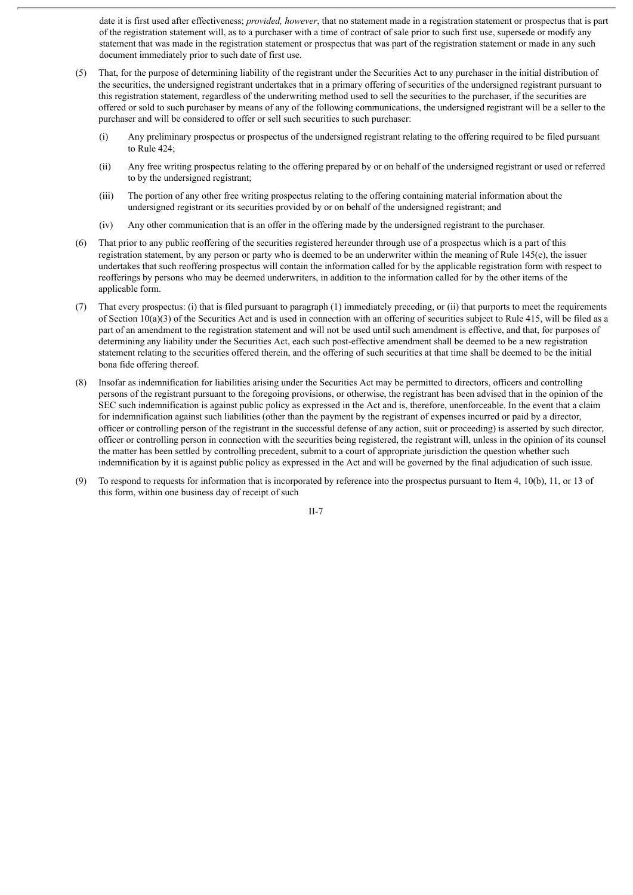date it is first used after effectiveness; *provided, however*, that no statement made in a registration statement or prospectus that is part of the registration statement will, as to a purchaser with a time of contract of sale prior to such first use, supersede or modify any statement that was made in the registration statement or prospectus that was part of the registration statement or made in any such document immediately prior to such date of first use.

- (5) That, for the purpose of determining liability of the registrant under the Securities Act to any purchaser in the initial distribution of the securities, the undersigned registrant undertakes that in a primary offering of securities of the undersigned registrant pursuant to this registration statement, regardless of the underwriting method used to sell the securities to the purchaser, if the securities are offered or sold to such purchaser by means of any of the following communications, the undersigned registrant will be a seller to the purchaser and will be considered to offer or sell such securities to such purchaser:
	- (i) Any preliminary prospectus or prospectus of the undersigned registrant relating to the offering required to be filed pursuant to Rule 424;
	- (ii) Any free writing prospectus relating to the offering prepared by or on behalf of the undersigned registrant or used or referred to by the undersigned registrant;
	- (iii) The portion of any other free writing prospectus relating to the offering containing material information about the undersigned registrant or its securities provided by or on behalf of the undersigned registrant; and
	- (iv) Any other communication that is an offer in the offering made by the undersigned registrant to the purchaser.
- (6) That prior to any public reoffering of the securities registered hereunder through use of a prospectus which is a part of this registration statement, by any person or party who is deemed to be an underwriter within the meaning of Rule 145(c), the issuer undertakes that such reoffering prospectus will contain the information called for by the applicable registration form with respect to reofferings by persons who may be deemed underwriters, in addition to the information called for by the other items of the applicable form.
- (7) That every prospectus: (i) that is filed pursuant to paragraph (1) immediately preceding, or (ii) that purports to meet the requirements of Section  $10(a)(3)$  of the Securities Act and is used in connection with an offering of securities subject to Rule 415, will be filed as a part of an amendment to the registration statement and will not be used until such amendment is effective, and that, for purposes of determining any liability under the Securities Act, each such post-effective amendment shall be deemed to be a new registration statement relating to the securities offered therein, and the offering of such securities at that time shall be deemed to be the initial bona fide offering thereof.
- (8) Insofar as indemnification for liabilities arising under the Securities Act may be permitted to directors, officers and controlling persons of the registrant pursuant to the foregoing provisions, or otherwise, the registrant has been advised that in the opinion of the SEC such indemnification is against public policy as expressed in the Act and is, therefore, unenforceable. In the event that a claim for indemnification against such liabilities (other than the payment by the registrant of expenses incurred or paid by a director, officer or controlling person of the registrant in the successful defense of any action, suit or proceeding) is asserted by such director, officer or controlling person in connection with the securities being registered, the registrant will, unless in the opinion of its counsel the matter has been settled by controlling precedent, submit to a court of appropriate jurisdiction the question whether such indemnification by it is against public policy as expressed in the Act and will be governed by the final adjudication of such issue.
- (9) To respond to requests for information that is incorporated by reference into the prospectus pursuant to Item 4, 10(b), 11, or 13 of this form, within one business day of receipt of such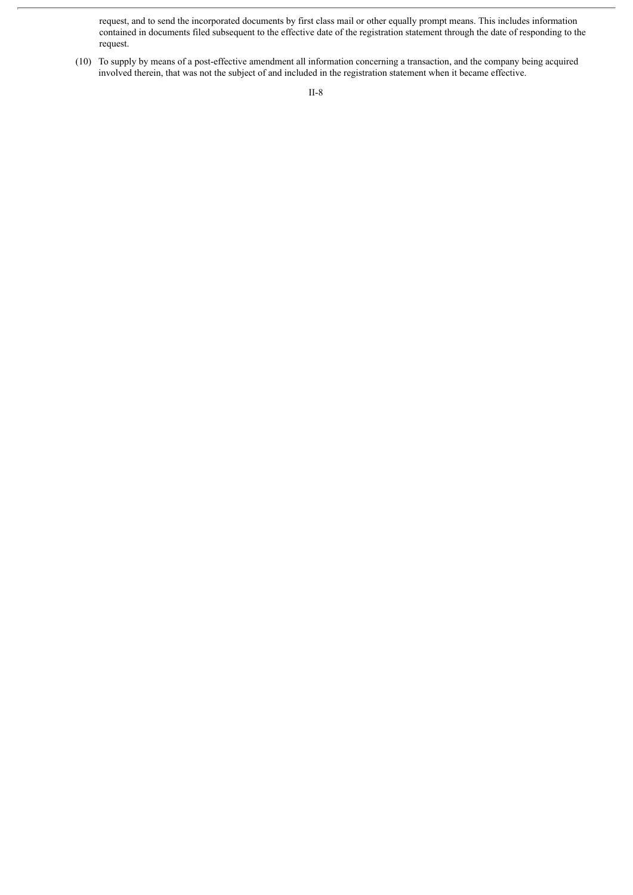request, and to send the incorporated documents by first class mail or other equally prompt means. This includes information contained in documents filed subsequent to the effective date of the registration statement through the date of responding to the request.

(10) To supply by means of a post-effective amendment all information concerning a transaction, and the company being acquired involved therein, that was not the subject of and included in the registration statement when it became effective.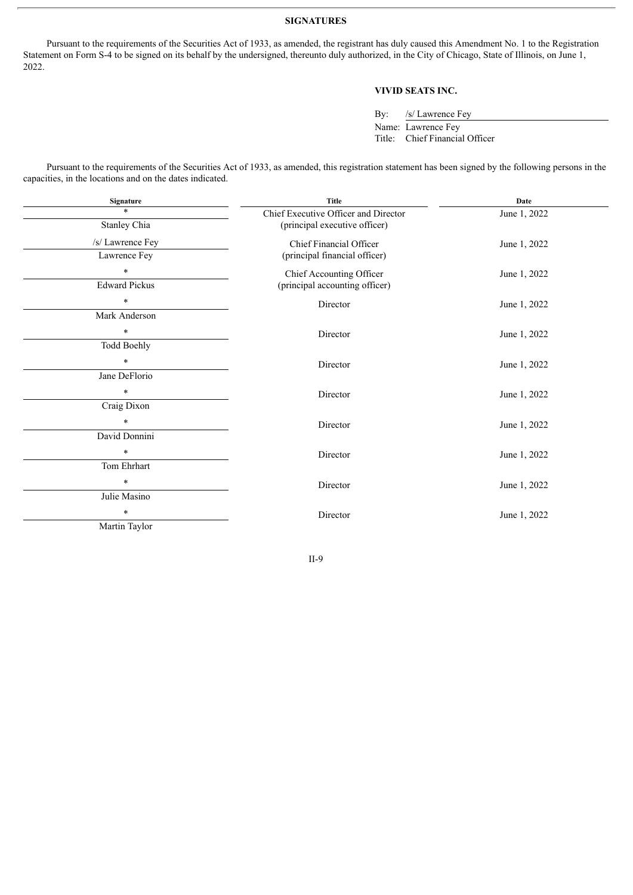# **SIGNATURES**

Pursuant to the requirements of the Securities Act of 1933, as amended, the registrant has duly caused this Amendment No. 1 to the Registration Statement on Form S-4 to be signed on its behalf by the undersigned, thereunto duly authorized, in the City of Chicago, State of Illinois, on June 1, 2022.

# **VIVID SEATS INC.**

By: /s/ Lawrence Fey Name: Lawrence Fey

Title: Chief Financial Officer

Pursuant to the requirements of the Securities Act of 1933, as amended, this registration statement has been signed by the following persons in the capacities, in the locations and on the dates indicated.

| Signature                        | <b>Title</b>                                                          | Date         |  |  |
|----------------------------------|-----------------------------------------------------------------------|--------------|--|--|
| $\ast$<br>Stanley Chia           | Chief Executive Officer and Director<br>(principal executive officer) | June 1, 2022 |  |  |
| /s/ Lawrence Fey<br>Lawrence Fey | Chief Financial Officer<br>(principal financial officer)              | June 1, 2022 |  |  |
| $\ast$                           | Chief Accounting Officer                                              | June 1, 2022 |  |  |
| <b>Edward Pickus</b><br>$\ast$   | (principal accounting officer)<br>Director                            | June 1, 2022 |  |  |
| Mark Anderson<br>$\ast$          | Director                                                              | June 1, 2022 |  |  |
| <b>Todd Boehly</b><br>$\ast$     |                                                                       |              |  |  |
| Jane DeFlorio                    | Director                                                              | June 1, 2022 |  |  |
| $\ast$<br>Craig Dixon            | Director                                                              | June 1, 2022 |  |  |
| $\ast$<br>David Donnini          | Director                                                              | June 1, 2022 |  |  |
| $\ast$<br>Tom Ehrhart            | Director                                                              | June 1, 2022 |  |  |
| $\ast$                           | Director                                                              | June 1, 2022 |  |  |
| Julie Masino<br>$\ast$           | Director                                                              | June 1, 2022 |  |  |
| Martin Taylor                    |                                                                       |              |  |  |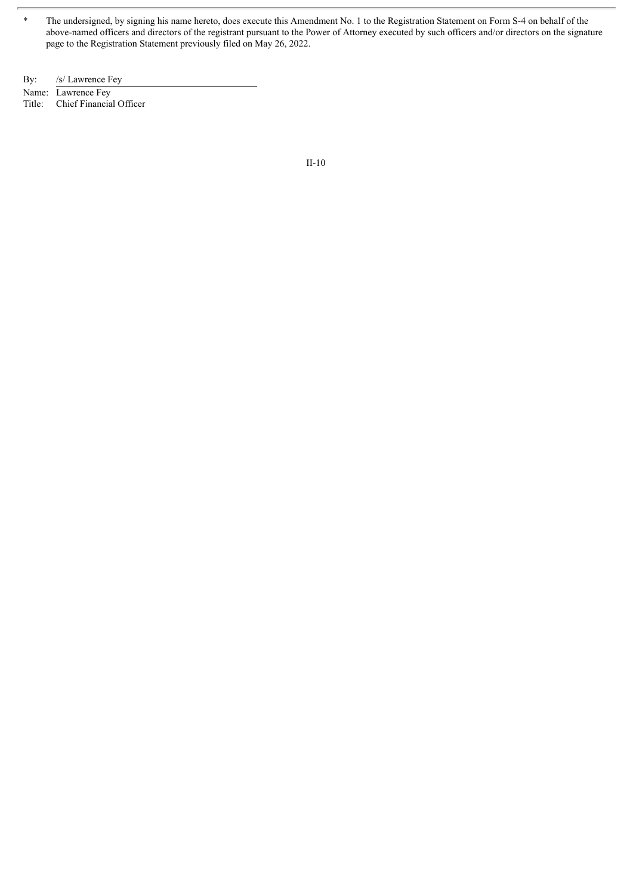\* The undersigned, by signing his name hereto, does execute this Amendment No. 1 to the Registration Statement on Form S-4 on behalf of the above-named officers and directors of the registrant pursuant to the Power of Attorney executed by such officers and/or directors on the signature page to the Registration Statement previously filed on May 26, 2022.

By: /s/ Lawrence Fey

Name: Lawrence Fey Title: Chief Financial Officer